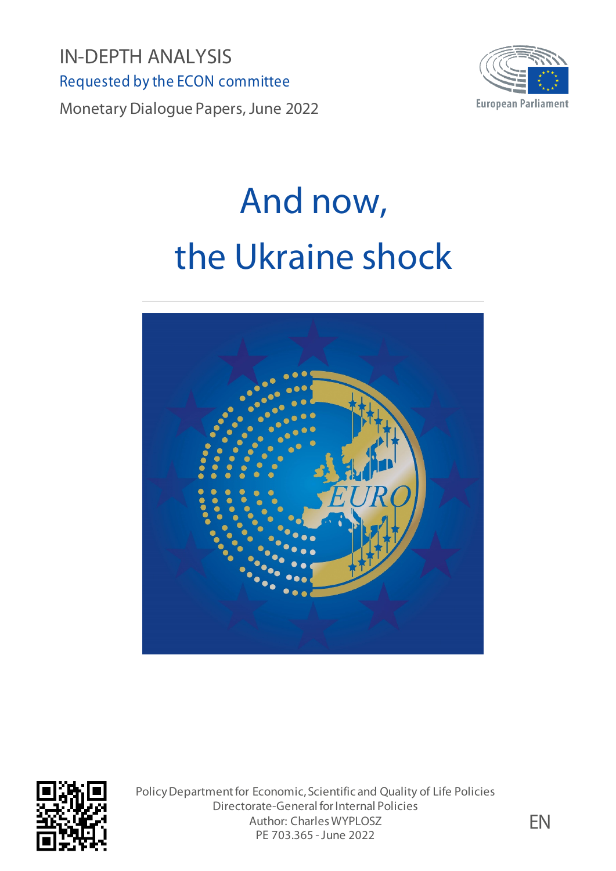IN-DEPTH ANALYSIS Requested by the ECON committee Monetary Dialogue Papers, June 2022



# And now, the Ukraine shock





Policy Department for Economic, Scientific and Quality of Life Policies Directorate-General for Internal Policies Author: Charles WYPLOSZ PE 703.365 -June 2022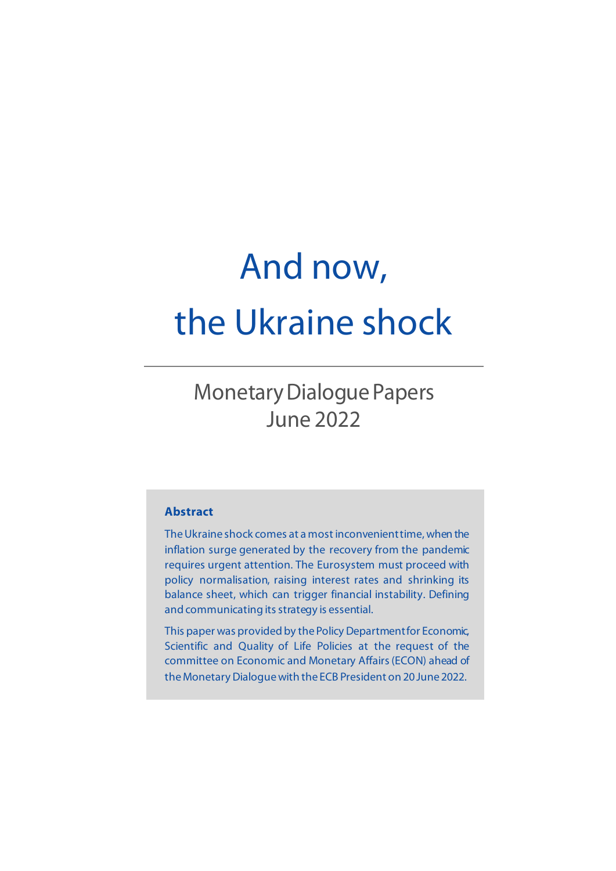## And now, the Ukraine shock

Monetary Dialogue Papers June 2022

#### **Abstract**

The Ukraine shock comes at a most inconvenient time, when the inflation surge generated by the recovery from the pandemic requires urgent attention. The Eurosystem must proceed with policy normalisation, raising interest rates and shrinking its balance sheet, which can trigger financial instability. Defining and communicating its strategy is essential.

This paper was provided by the Policy Departmentfor Economic, Scientific and Quality of Life Policies at the request of the committee on Economic and Monetary Affairs (ECON) ahead of the Monetary Dialogue with the ECB President on 20 June 2022.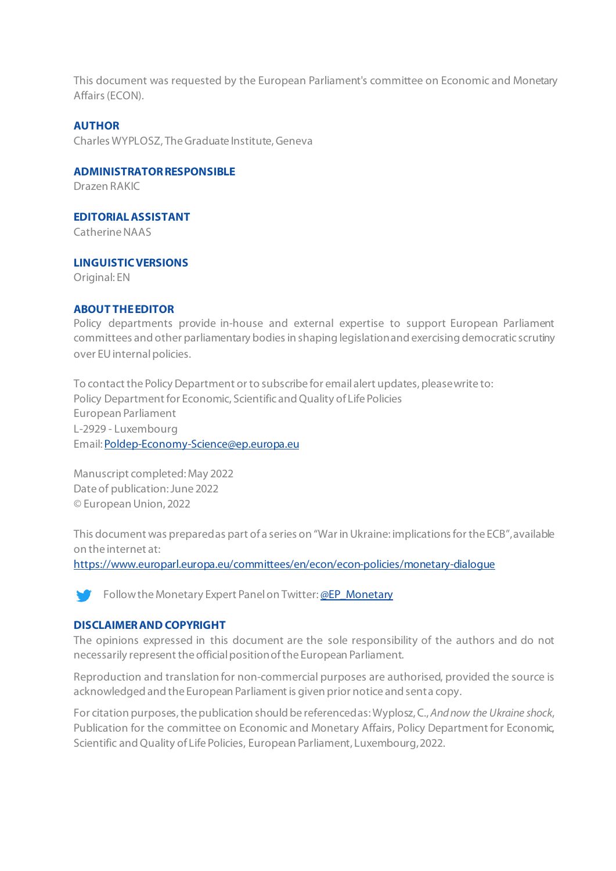This document was requested by the European Parliament's committee on Economic and Monetary Affairs (ECON).

#### **AUTHOR**

Charles WYPLOSZ, The Graduate Institute, Geneva

#### **ADMINISTRATORRESPONSIBLE**

Drazen RAKIC

**EDITORIAL ASSISTANT** Catherine NAAS

**LINGUISTIC VERSIONS**

Original: EN

#### **ABOUT THE EDITOR**

Policy departments provide in-house and external expertise to support European Parliament committees and other parliamentary bodies in shaping legislation and exercising democratic scrutiny over EU internal policies.

To contact the Policy Department or to subscribe for email alert updates, please write to: Policy Department for Economic, Scientific and Quality of Life Policies European Parliament L-2929 - Luxembourg Email[: Poldep-Economy-Science@ep.europa.eu](mailto:Poldep-Economy-Science@ep.europa.eu)

Manuscript completed: May 2022 Date of publication: June 2022 © European Union, 2022

This document was prepared as part of a series on "War in Ukraine: implications for the ECB", available on the internet at: <https://www.europarl.europa.eu/committees/en/econ/econ-policies/monetary-dialogue>

Follow the Monetary Expert Panel on Twitter[: @EP\\_Monetary](https://twitter.com/EP_Monetary)

#### **DISCLAIMERAND COPYRIGHT**

The opinions expressed in this document are the sole responsibility of the authors and do not necessarily represent the official position of the European Parliament.

Reproduction and translation for non-commercial purposes are authorised, provided the source is acknowledged and the European Parliament is given prior notice and sent a copy.

For citation purposes, the publication should be referenced as: Wyplosz, C., *And now the Ukraine shock*, Publication for the committee on Economic and Monetary Affairs, Policy Department for Economic, Scientific and Quality of Life Policies, European Parliament, Luxembourg, 2022.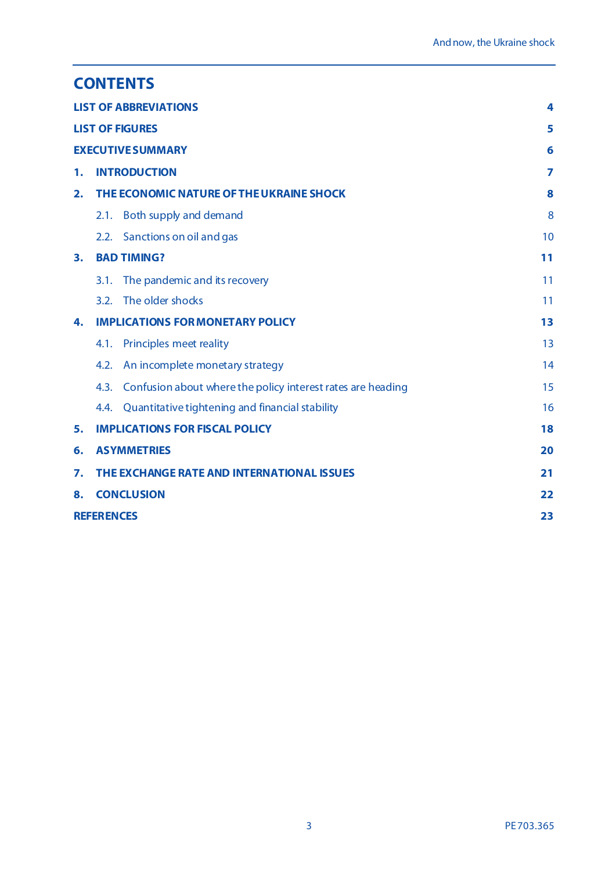|                              | <b>CONTENTS</b>                                                     |    |  |
|------------------------------|---------------------------------------------------------------------|----|--|
| <b>LIST OF ABBREVIATIONS</b> | 4                                                                   |    |  |
| <b>LIST OF FIGURES</b>       | 5                                                                   |    |  |
| <b>EXECUTIVE SUMMARY</b>     |                                                                     |    |  |
| 1.                           | <b>INTRODUCTION</b>                                                 | 7  |  |
| 2.                           | THE ECONOMIC NATURE OF THE UKRAINE SHOCK                            | 8  |  |
|                              | Both supply and demand<br>2.1.                                      | 8  |  |
|                              | 2.2. Sanctions on oil and gas                                       | 10 |  |
| 3.                           | <b>BAD TIMING?</b>                                                  | 11 |  |
|                              | The pandemic and its recovery<br>3.1.                               | 11 |  |
|                              | The older shocks<br>3.2.                                            | 11 |  |
| 4.                           | <b>IMPLICATIONS FOR MONETARY POLICY</b>                             | 13 |  |
|                              | Principles meet reality<br>4.1.                                     | 13 |  |
|                              | An incomplete monetary strategy<br>4.2.                             | 14 |  |
|                              | Confusion about where the policy interest rates are heading<br>4.3. | 15 |  |
|                              | Quantitative tightening and financial stability<br>4.4.             | 16 |  |
| 5.                           | <b>IMPLICATIONS FOR FISCAL POLICY</b>                               | 18 |  |
| 6.                           | <b>ASYMMETRIES</b>                                                  | 20 |  |
| 7.                           | THE EXCHANGE RATE AND INTERNATIONAL ISSUES                          | 21 |  |
| 8.                           | <b>CONCLUSION</b>                                                   | 22 |  |
|                              | <b>REFERENCES</b><br>23                                             |    |  |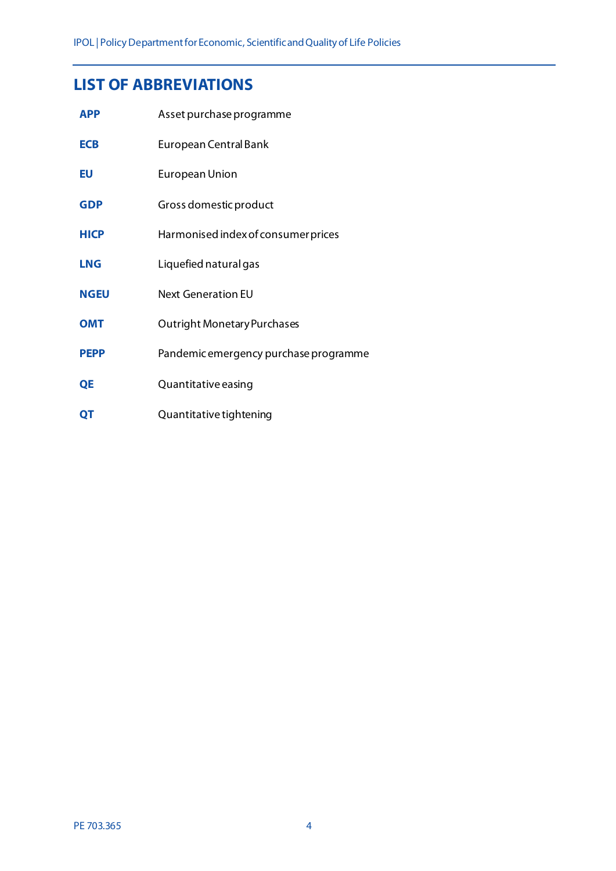#### <span id="page-5-0"></span>**LIST OF ABBREVIATIONS**

| <b>APP</b>  | Asset purchase programme              |
|-------------|---------------------------------------|
| <b>ECB</b>  | European Central Bank                 |
| EU          | <b>European Union</b>                 |
| <b>GDP</b>  | Gross domestic product                |
| <b>HICP</b> | Harmonised index of consumer prices   |
| <b>LNG</b>  | Liquefied natural gas                 |
| <b>NGEU</b> | <b>Next Generation EU</b>             |
| <b>OMT</b>  | <b>Outright Monetary Purchases</b>    |
| <b>PEPP</b> | Pandemic emergency purchase programme |
| QE          | Quantitative easing                   |
| QT          | Quantitative tightening               |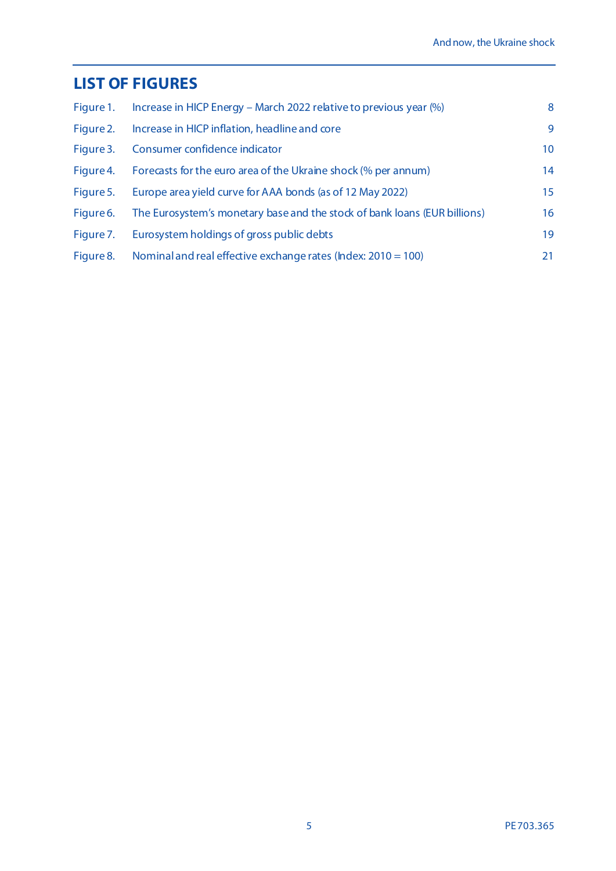## <span id="page-6-0"></span>**LIST OF FIGURES**

| Figure 1. | Increase in HICP Energy - March 2022 relative to previous year (%)        | 8               |
|-----------|---------------------------------------------------------------------------|-----------------|
| Figure 2. | Increase in HICP inflation, headline and core                             | 9               |
| Figure 3. | Consumer confidence indicator                                             | 10 <sup>°</sup> |
| Figure 4. | Forecasts for the euro area of the Ukraine shock (% per annum)            | 14              |
| Figure 5. | Europe area yield curve for AAA bonds (as of 12 May 2022)                 | 15              |
| Figure 6. | The Eurosystem's monetary base and the stock of bank loans (EUR billions) | 16              |
| Figure 7. | Eurosystem holdings of gross public debts                                 | 19              |
| Figure 8. | Nominal and real effective exchange rates (Index: 2010 = 100)             | 21              |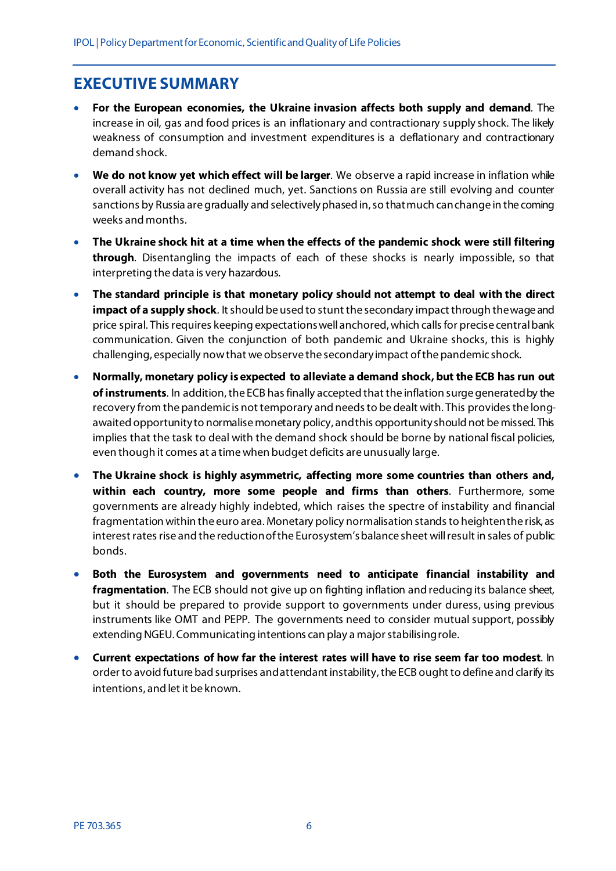#### <span id="page-7-0"></span>**EXECUTIVE SUMMARY**

- **For the European economies, the Ukraine invasion affects both supply and demand**. The increase in oil, gas and food prices is an inflationary and contractionary supply shock. The likely weakness of consumption and investment expenditures is a deflationary and contractionary demand shock.
- **We do not know yet which effect will be larger**. We observe a rapid increase in inflation while overall activity has not declined much, yet. Sanctions on Russia are still evolving and counter sanctions by Russia are gradually and selectively phased in, so that much can change in the coming weeks and months.
- **The Ukraine shock hit at a time when the effects of the pandemic shock were still filtering through**. Disentangling the impacts of each of these shocks is nearly impossible, so that interpreting the data is very hazardous.
- **The standard principle is that monetary policy should not attempt to deal with the direct impact of a supply shock**. It should be used to stunt the secondary impact through the wage and price spiral. This requires keeping expectations well anchored, which calls for precise central bank communication. Given the conjunction of both pandemic and Ukraine shocks, this is highly challenging, especially now that we observe the secondary impact of the pandemic shock.
- **Normally, monetary policy is expected to alleviate a demand shock, but the ECB has run out of instruments**. In addition, the ECB has finally accepted that the inflation surge generated by the recovery from the pandemic is not temporary and needs to be dealt with. This provides the longawaited opportunity to normalise monetary policy, and this opportunity should not be missed. This implies that the task to deal with the demand shock should be borne by national fiscal policies, even though it comes at a time when budget deficits are unusually large.
- **The Ukraine shock is highly asymmetric, affecting more some countries than others and, within each country, more some people and firms than others**. Furthermore, some governments are already highly indebted, which raises the spectre of instability and financial fragmentation within the euro area. Monetary policy normalisation stands to heighten the risk, as interest rates rise and the reduction of the Eurosystem'sbalance sheet will result in sales of public bonds.
- **Both the Eurosystem and governments need to anticipate financial instability and fragmentation**. The ECB should not give up on fighting inflation and reducing its balance sheet, but it should be prepared to provide support to governments under duress, using previous instruments like OMT and PEPP. The governments need to consider mutual support, possibly extending NGEU. Communicating intentions can play a major stabilising role.
- **Current expectations of how far the interest rates will have to rise seem far too modest**. In order to avoid future bad surprises and attendant instability, the ECB ought to define and clarify its intentions, and let it be known.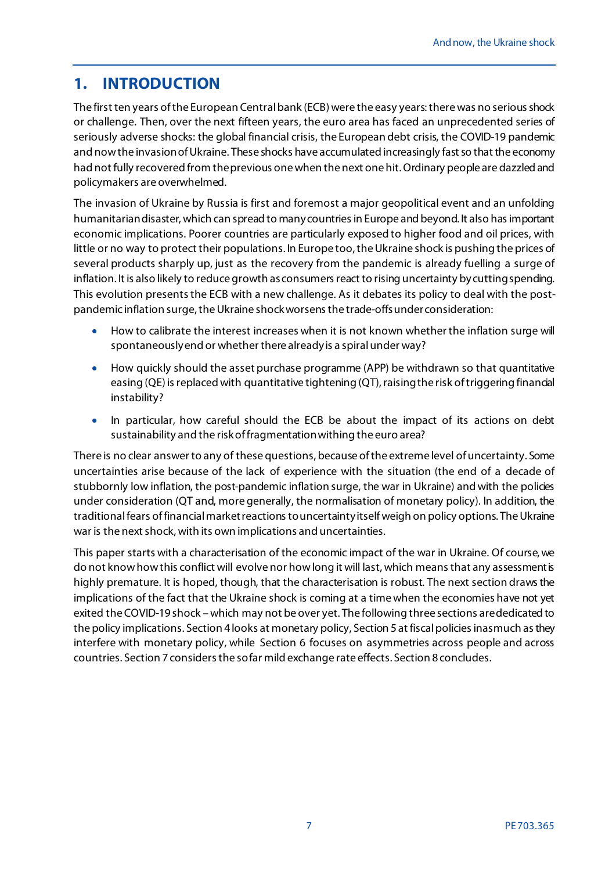### <span id="page-8-0"></span>**1. INTRODUCTION**

The first ten years of the European Central bank (ECB) were the easy years: there was no serious shock or challenge. Then, over the next fifteen years, the euro area has faced an unprecedented series of seriously adverse shocks: the global financial crisis, the European debt crisis, the COVID-19 pandemic and now the invasion of Ukraine. These shocks have accumulated increasingly fast so that the economy had not fully recovered from the previous one when the next one hit. Ordinary people are dazzled and policymakers are overwhelmed.

The invasion of Ukraine by Russia is first and foremost a major geopolitical event and an unfolding humanitarian disaster, which can spread to many countries in Europe and beyond. It also has important economic implications. Poorer countries are particularly exposed to higher food and oil prices, with little or no way to protect their populations. In Europe too, the Ukraine shock is pushing the prices of several products sharply up, just as the recovery from the pandemic is already fuelling a surge of inflation. It is also likely to reduce growth as consumers react to rising uncertainty by cutting spending. This evolution presents the ECB with a new challenge. As it debates its policy to deal with the postpandemic inflation surge, the Ukraine shock worsens the trade-offs under consideration:

- How to calibrate the interest increases when it is not known whether the inflation surge will spontaneously end or whether there already is a spiral under way?
- How quickly should the asset purchase programme (APP) be withdrawn so that quantitative easing (QE) is replaced with quantitative tightening (QT), raising the risk of triggering financial instability?
- In particular, how careful should the ECB be about the impact of its actions on debt sustainability and the risk of fragmentation withing the euro area?

There is no clear answer to any of these questions, because of the extreme level of uncertainty. Some uncertainties arise because of the lack of experience with the situation (the end of a decade of stubbornly low inflation, the post-pandemic inflation surge, the war in Ukraine) and with the policies under consideration (QT and, more generally, the normalisation of monetary policy). In addition, the traditional fears of financial market reactions to uncertainty itself weigh on policy options. The Ukraine war is the next shock, with its own implications and uncertainties.

This paper starts with a characterisation of the economic impact of the war in Ukraine. Of course, we do not know how this conflict will evolve nor how long it will last, which means that any assessment is highly premature. It is hoped, though, that the characterisation is robust. The next section draws the implications of the fact that the Ukraine shock is coming at a time when the economies have not yet exited the COVID-19 shock –which may not be over yet. The following three sections are dedicated to the policy implications. Section 4 looks at monetary policy, Section 5 at fiscal policies inasmuch as they interfere with monetary policy, while Section 6 focuses on asymmetries across people and across countries. Section 7 considers the so far mild exchange rate effects. Section 8 concludes.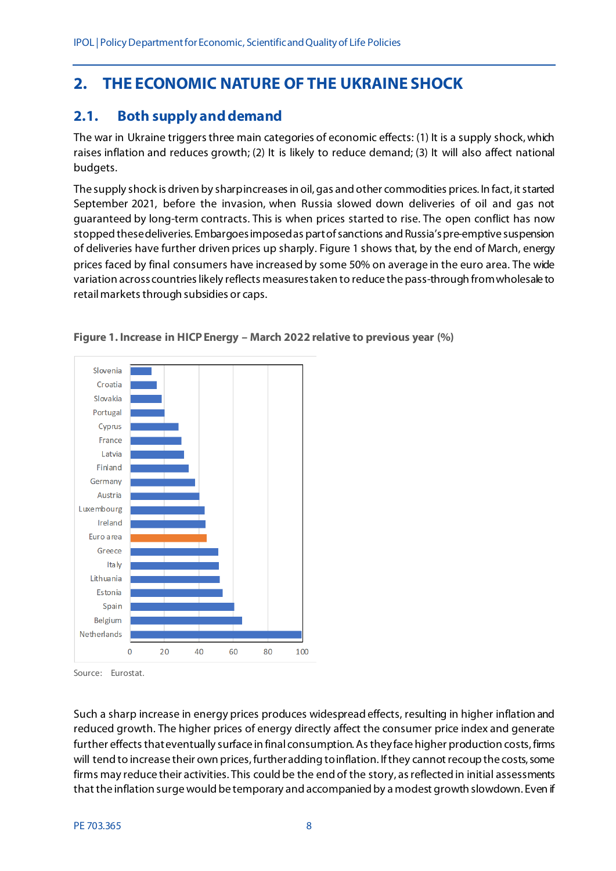## <span id="page-9-0"></span>**2. THE ECONOMIC NATURE OF THE UKRAINE SHOCK**

#### <span id="page-9-1"></span>**2.1. Both supply and demand**

The war in Ukraine triggers three main categories of economic effects: (1) It is a supply shock, which raises inflation and reduces growth; (2) It is likely to reduce demand; (3) It will also affect national budgets.

The supply shock is driven by sharp increases in oil, gas and other commodities prices. In fact, it started September 2021, before the invasion, when Russia slowed down deliveries of oil and gas not guaranteed by long-term contracts. This is when prices started to rise. The open conflict has now stopped these deliveries. Embargoes imposed as part of sanctions and Russia's pre-emptive suspension of deliveries have further driven prices up sharply[. Figure 1](#page-9-2) shows that, by the end of March, energy prices faced by final consumers have increased by some 50% on average in the euro area. The wide variation across countries likely reflects measures taken to reduce the pass-through from wholesale to retail markets through subsidies or caps.



<span id="page-9-2"></span>**Figure 1. Increase in HICP Energy – March 2022 relative to previous year (%)**

Source: Eurostat.

Such a sharp increase in energy prices produces widespread effects, resulting in higher inflation and reduced growth. The higher prices of energy directly affect the consumer price index and generate further effects that eventually surface in final consumption. As they face higher production costs, firms will tend to increase their own prices, further adding to inflation. If they cannot recoup the costs, some firms may reduce their activities. This could be the end of the story, as reflected in initial assessments that the inflation surge would be temporary and accompanied by a modest growth slowdown. Even if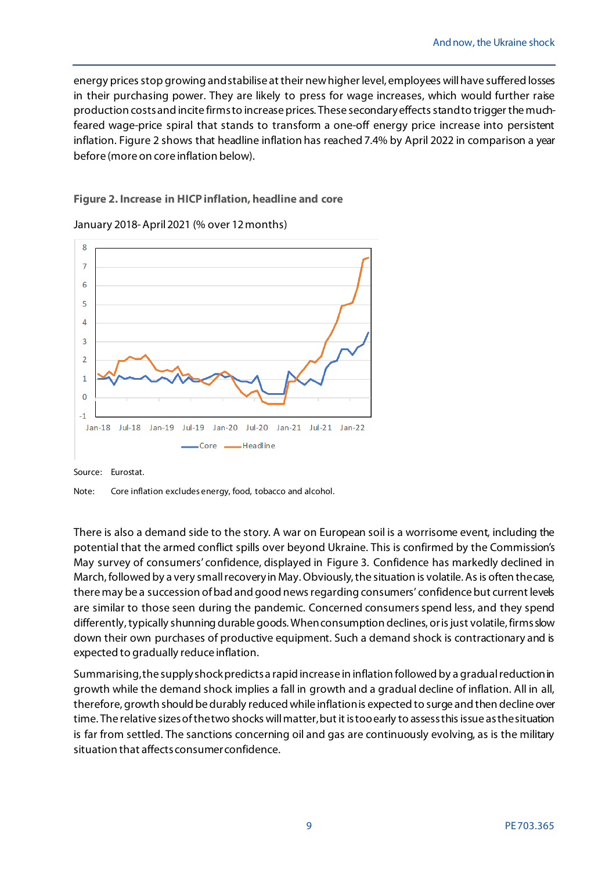energy prices stop growing and stabilise at their new higher level, employees will have suffered losses in their purchasing power. They are likely to press for wage increases, which would further raise production costs and incite firms to increase prices. These secondary effects stand to trigger the muchfeared wage-price spiral that stands to transform a one-off energy price increase into persistent inflation[. Figure 2](#page-10-0) shows that headline inflation has reached 7.4% by April 2022 in comparison a year before (more on core inflation below).

<span id="page-10-0"></span>**Figure 2. Increase in HICPinflation, headline and core**



January 2018-April 2021 (% over 12 months)

Source: Eurostat.



There is also a demand side to the story. A war on European soil is a worrisome event, including the potential that the armed conflict spills over beyond Ukraine. This is confirmed by the Commission's May survey of consumers' confidence, displayed in [Figure 3.](#page-11-1) Confidence has markedly declined in March, followed by a very small recovery in May. Obviously, the situation is volatile. As is often the case, there may be a succession of bad and good news regarding consumers' confidencebut current levels are similar to those seen during the pandemic. Concerned consumers spend less, and they spend differently, typically shunning durable goods. When consumption declines, or is just volatile, firms slow down their own purchases of productive equipment. Such a demand shock is contractionary and is expected to gradually reduce inflation.

Summarising, the supply shock predicts a rapid increase in inflation followed by a gradual reduction in growth while the demand shock implies a fall in growth and a gradual decline of inflation. All in all, therefore, growth should be durably reduced while inflation is expected to surge and then decline over time. The relative sizes of the two shocks will matter, but it is too early to assess this issue as the situation is far from settled. The sanctions concerning oil and gas are continuously evolving, as is the military situation that affects consumer confidence.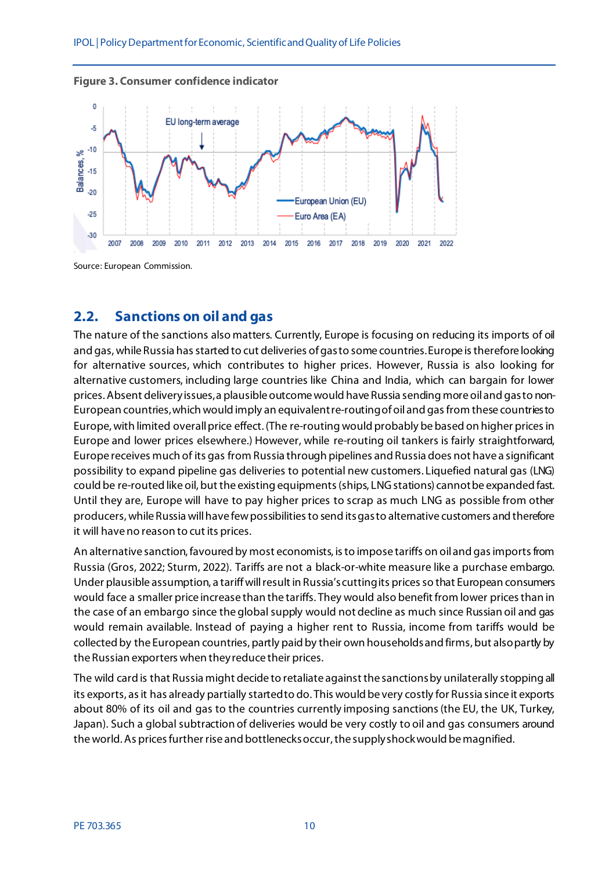<span id="page-11-1"></span>



Source: European Commission.

#### <span id="page-11-0"></span>**2.2. Sanctions on oil and gas**

The nature of the sanctions also matters. Currently, Europe is focusing on reducing its imports of oil and gas, while Russia has started to cut deliveries of gasto some countries. Europe is therefore looking for alternative sources, which contributes to higher prices. However, Russia is also looking for alternative customers, including large countries like China and India, which can bargain for lower prices. Absent delivery issues, a plausible outcome would have Russia sending more oil and gas to non-European countries, which would imply an equivalent re-routing of oil and gas from these countries to Europe, with limited overall price effect. (The re-routing would probably be based on higher prices in Europe and lower prices elsewhere.) However, while re-routing oil tankers is fairly straightforward, Europe receives much of its gas from Russia through pipelines and Russia does not have a significant possibility to expand pipeline gas deliveries to potential new customers. Liquefied natural gas (LNG) could be re-routed like oil, but the existing equipments(ships, LNG stations) cannot be expanded fast. Until they are, Europe will have to pay higher prices to scrap as much LNG as possible from other producers, while Russia will have few possibilities to send its gas to alternative customers and therefore it will have no reason to cut its prices.

An alternative sanction, favoured by most economists, is to impose tariffs on oil and gas imports from Russia (Gros, 2022; Sturm, 2022). Tariffs are not a black-or-white measure like a purchase embargo. Under plausible assumption, a tariff will result in Russia's cutting its prices so that European consumers would face a smaller price increase than the tariffs. They would also benefit from lower prices than in the case of an embargo since the global supply would not decline as much since Russian oil and gas would remain available. Instead of paying a higher rent to Russia, income from tariffs would be collected by the European countries, partly paid by their own households and firms, but also partly by the Russian exporters when they reduce their prices.

The wild card is that Russia might decide to retaliate against the sanctions by unilaterally stopping all its exports, as it has already partially started to do. This would be very costly for Russia since it exports about 80% of its oil and gas to the countries currently imposing sanctions (the EU, the UK, Turkey, Japan). Such a global subtraction of deliveries would be very costly to oil and gas consumers around the world. As prices further rise and bottlenecks occur, the supply shock would be magnified.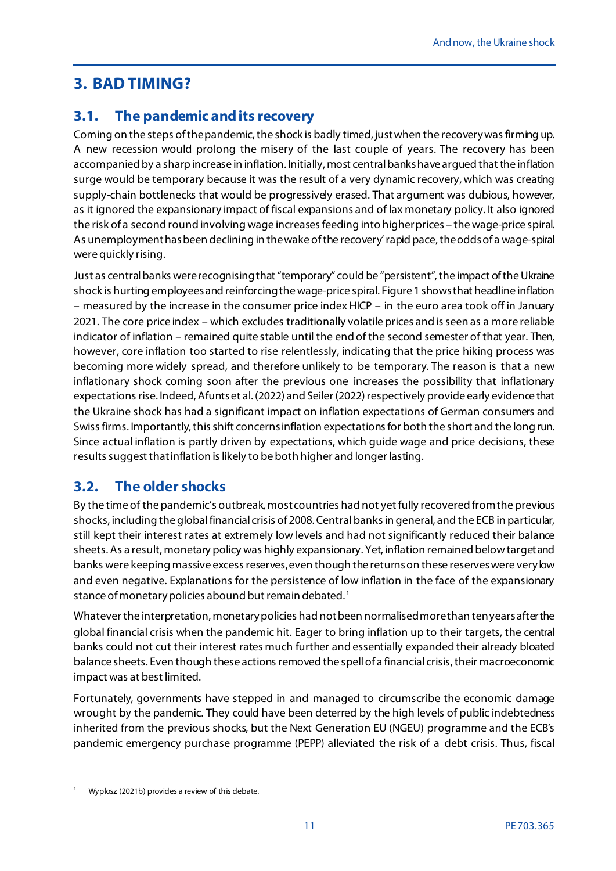## <span id="page-12-0"></span>**3. BAD TIMING?**

#### <span id="page-12-1"></span>**3.1. The pandemic and its recovery**

Coming on the steps of the pandemic, the shock is badly timed, just when the recovery was firming up. A new recession would prolong the misery of the last couple of years. The recovery has been accompanied by a sharp increase in inflation. Initially, most central banks have argued that the inflation surge would be temporary because it was the result of a very dynamic recovery, which was creating supply-chain bottlenecks that would be progressively erased. That argument was dubious, however, as it ignored the expansionary impact of fiscal expansions and of lax monetary policy. It also ignored the risk of a second round involving wage increases feeding into higher prices – the wage-price spiral. As unemployment has been declining in the wake of the recovery' rapid pace, the odds of a wage-spiral were quickly rising.

Just as central banks were recognising that "temporary" could be "persistent", the impact of the Ukraine shock is hurting employees and reinforcing thewage-price spira[l. Figure 1](#page-9-2) shows that headline inflation – measured by the increase in the consumer price index HICP – in the euro area took off in January 2021. The core price index – which excludes traditionally volatile prices and is seen as a more reliable indicator of inflation – remained quite stable until the end of the second semester of that year. Then, however, core inflation too started to rise relentlessly, indicating that the price hiking process was becoming more widely spread, and therefore unlikely to be temporary. The reason is that a new inflationary shock coming soon after the previous one increases the possibility that inflationary expectations rise. Indeed, Afunts et al. (2022) and Seiler (2022) respectively provide early evidence that the Ukraine shock has had a significant impact on inflation expectations of German consumers and Swiss firms. Importantly, this shift concerns inflation expectations for both the short and the long run. Since actual inflation is partly driven by expectations, which guide wage and price decisions, these results suggest that inflation is likely to be both higher and longer lasting.

### <span id="page-12-2"></span>**3.2. The older shocks**

By the time of the pandemic's outbreak, most countries had not yet fully recovered from the previous shocks, including the global financial crisis of 2008. Central banks in general, and the ECB in particular, still kept their interest rates at extremely low levels and had not significantly reduced their balance sheets. As a result, monetary policy was highly expansionary. Yet, inflation remained below target and banks were keeping massive excess reserves, even though the returns on these reserves were very low and even negative. Explanations for the persistence of low inflation in the face of the expansionary stance of monetary policies abound but remain debated.<sup>[1](#page-12-3)</sup>

Whatever the interpretation, monetary policies had not been normalised more than ten years after the global financial crisis when the pandemic hit. Eager to bring inflation up to their targets, the central banks could not cut their interest rates much further and essentially expanded their already bloated balance sheets. Even though these actions removed the spell of a financial crisis, their macroeconomic impact was at best limited.

Fortunately, governments have stepped in and managed to circumscribe the economic damage wrought by the pandemic. They could have been deterred by the high levels of public indebtedness inherited from the previous shocks, but the Next Generation EU (NGEU) programme and the ECB's pandemic emergency purchase programme (PEPP) alleviated the risk of a debt crisis. Thus, fiscal

1

<span id="page-12-3"></span>Wyplosz (2021b) provides a review of this debate.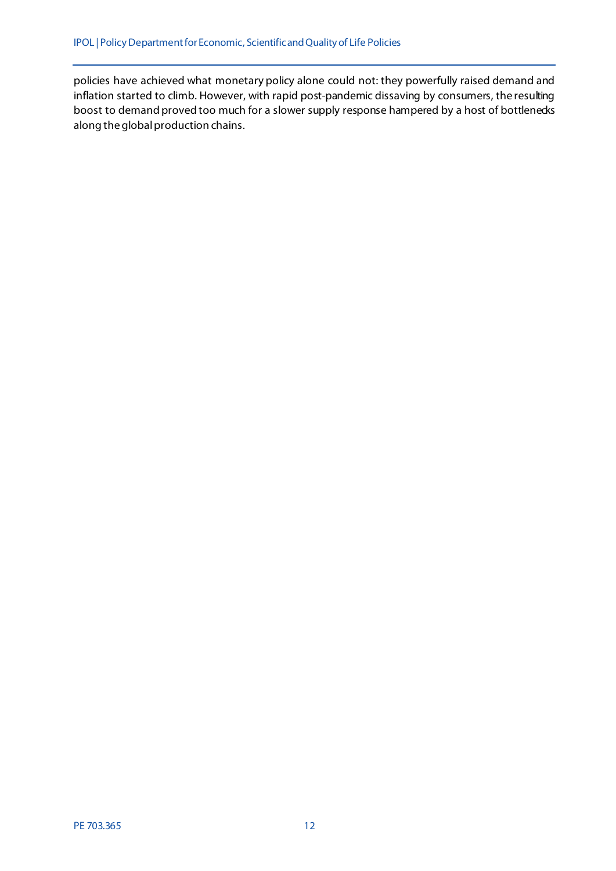policies have achieved what monetary policy alone could not: they powerfully raised demand and inflation started to climb. However, with rapid post-pandemic dissaving by consumers, the resulting boost to demand proved too much for a slower supply response hampered by a host of bottlened is along the global production chains.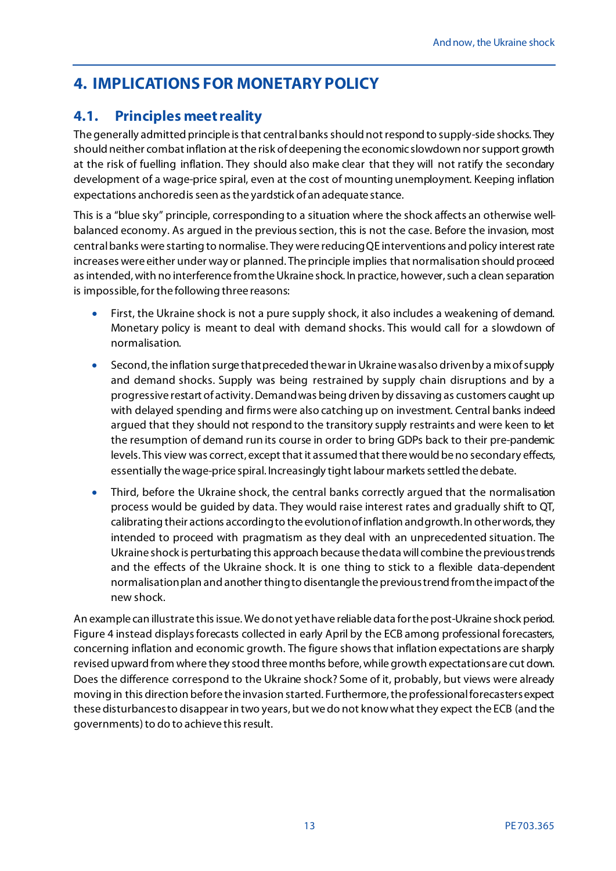## <span id="page-14-0"></span>**4. IMPLICATIONS FOR MONETARY POLICY**

#### <span id="page-14-1"></span>**4.1. Principles meet reality**

The generally admitted principle is that central banks should not respond to supply-side shocks. They should neither combat inflation at the risk of deepening the economic slowdown nor support growth at the risk of fuelling inflation. They should also make clear that they will not ratify the secondary development of a wage-price spiral, even at the cost of mounting unemployment. Keeping inflation expectations anchored is seen asthe yardstick of an adequate stance.

This is a "blue sky" principle, corresponding to a situation where the shock affects an otherwise wellbalanced economy. As argued in the previous section, this is not the case. Before the invasion, most central banks were starting to normalise. They were reducing QE interventions and policy interest rate increases were either under way or planned. The principle implies that normalisation should proceed as intended, with no interference from the Ukraine shock. In practice, however, such a clean separation is impossible, for the following three reasons:

- First, the Ukraine shock is not a pure supply shock, it also includes a weakening of demand. Monetary policy is meant to deal with demand shocks. This would call for a slowdown of normalisation.
- Second, the inflation surge that preceded the war in Ukraine was also driven by a mix of supply and demand shocks. Supply was being restrained by supply chain disruptions and by a progressive restart of activity. Demand was being driven by dissaving as customers caught up with delayed spending and firms were also catching up on investment. Central banks indeed argued that they should not respond to the transitory supply restraints and were keen to let the resumption of demand run its course in order to bring GDPs back to their pre-pandemic levels. This view was correct, except that it assumed that there would be no secondary effects, essentially the wage-price spiral. Increasingly tight labour markets settled the debate.
- Third, before the Ukraine shock, the central banks correctly argued that the normalisation process would be guided by data. They would raise interest rates and gradually shift to QT, calibrating their actions according to the evolution of inflation and growth. In other words, they intended to proceed with pragmatism as they deal with an unprecedented situation. The Ukraine shock is perturbating this approach because the data will combine the previous trends and the effects of the Ukraine shock. It is one thing to stick to a flexible data-dependent normalisation plan and another thing to disentangle the previous trend from the impact of the new shock.

An example can illustrate this issue. We do not yet have reliable data for the post-Ukraine shock period. [Figure 4](#page-15-1) instead displays forecasts collected in early April by the ECB among professional forecasters, concerning inflation and economic growth. The figure shows that inflation expectations are sharply revised upward from where they stood three months before, while growth expectations are cut down. Does the difference correspond to the Ukraine shock? Some of it, probably, but views were already moving in this direction before the invasion started. Furthermore, the professionalforecasters expect these disturbances to disappear in two years, but we do not know what they expect the ECB (and the governments) to do to achieve this result.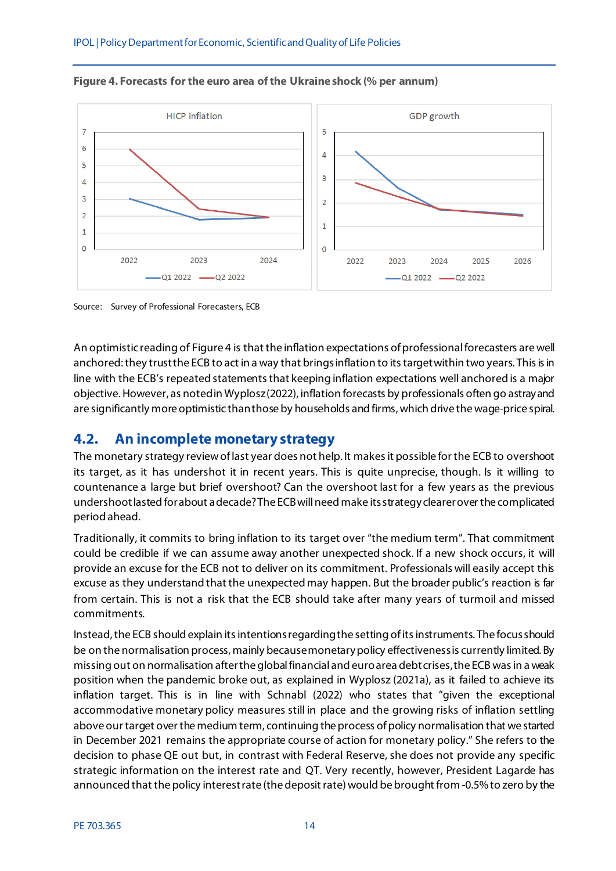

<span id="page-15-1"></span>**Figure 4. Forecasts for the euro area ofthe Ukraine shock (% per annum)**

Source: Survey of Professional Forecasters, ECB

An optimistic reading o[f Figure 4](#page-15-1) is that the inflation expectations of professional forecasters are well anchored: they trust the ECB to act in a way that brings inflation to its target within two years. This is in line with the ECB's repeated statements that keeping inflation expectations well anchored is a major objective. However, as noted in Wyplosz (2022), inflation forecasts by professionals often go astray and are significantly more optimistic than those by households and firms, which drive the wage-price spiral.

#### <span id="page-15-0"></span>**4.2. An incomplete monetary strategy**

The monetary strategy review of last year does not help. It makes it possible for the ECB to overshoot its target, as it has undershot it in recent years. This is quite unprecise, though. Is it willing to countenance a large but brief overshoot? Can the overshoot last for a few years as the previous undershoot lasted for about a decade? The ECB will need make its strategy clearer over the complicated period ahead.

Traditionally, it commits to bring inflation to its target over "the medium term". That commitment could be credible if we can assume away another unexpected shock. If a new shock occurs, it will provide an excuse for the ECB not to deliver on its commitment. Professionals will easily accept this excuse as they understand that the unexpected may happen. But the broader public's reaction is far from certain. This is not a risk that the ECB should take after many years of turmoil and missed commitments.

Instead, the ECB should explain its intentions regarding the setting of its instruments. The focus should be on the normalisation process, mainly because monetary policy effectiveness is currently limited. By missing out on normalisation after the global financial and euro area debt crises, the ECB was in a weak position when the pandemic broke out, as explained in Wyplosz (2021a), as it failed to achieve its inflation target. This is in line with Schnabl (2022) who states that "given the exceptional accommodative monetary policy measures still in place and the growing risks of inflation settling above our target over the medium term, continuing the process of policy normalisation that we started in December 2021 remains the appropriate course of action for monetary policy." She refers to the decision to phase QE out but, in contrast with Federal Reserve, she does not provide any specific strategic information on the interest rate and QT. Very recently, however, President Lagarde has announced that the policy interest rate (the deposit rate) would be brought from -0.5% to zero by the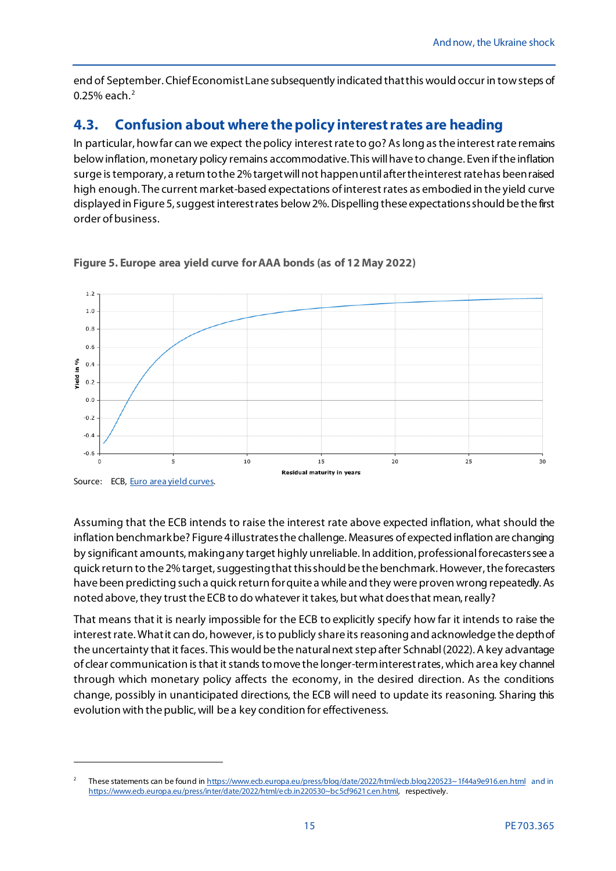end of September. Chief Economist Lane subsequently indicated that this would occur in tow steps of 0.25% each. [2](#page-16-2)

#### <span id="page-16-0"></span>**4.3. Confusion about where the policy interest rates are heading**

In particular, how far can we expect the policy interest rate to go? As long as the interest rate remains belowinflation, monetary policy remains accommodative. This will have to change. Even if the inflation surge is temporary, a return to the 2% target will not happen until after the interest rate has been raised high enough. The current market-based expectations of interest rates as embodied in the yield curve displayed i[n Figure 5,](#page-16-1) suggest interest rates below 2%. Dispelling these expectations should be the first order of business.



<span id="page-16-1"></span>**Figure 5. Europe area yield curve for AAA bonds (as of 12 May 2022)**

Assuming that the ECB intends to raise the interest rate above expected inflation, what should the inflation benchmark be[? Figure 4](#page-15-1) illustrates the challenge. Measures of expected inflation are changing by significant amounts, making any target highly unreliable. In addition, professional forecasters see a quick return to the 2% target, suggesting that this should be the benchmark. However, the forecasters have been predicting such a quick return for quite a while and they were proven wrong repeatedly. As noted above, they trust the ECB to do whatever it takes, but what does that mean, really?

That means that it is nearly impossible for the ECB to explicitly specify how far it intends to raise the interest rate. What it can do, however, is to publicly share its reasoning and acknowledge the depth of the uncertainty that it faces. This would be the natural next step after Schnabl (2022). A key advantage of clear communication is that it stands to move the longer-term interest rates, which are a key channel through which monetary policy affects the economy, in the desired direction. As the conditions change, possibly in unanticipated directions, the ECB will need to update its reasoning. Sharing this evolution with the public, will be a key condition for effectiveness.

1

<span id="page-16-2"></span><sup>2</sup> These statements can be found i[n https://www.ecb.europa.eu/press/blog/date/2022/html/ecb.blog220523~1f44a9e916.en.html](https://www.ecb.europa.eu/press/blog/date/2022/html/ecb.blog220523%7E1f44a9e916.en.html) and in [https://www.ecb.europa.eu/press/inter/date/2022/html/ecb.in220530~bc5cf9621c.en.html,](https://www.ecb.europa.eu/press/inter/date/2022/html/ecb.in220530%7Ebc5cf9621c.en.html) respectively.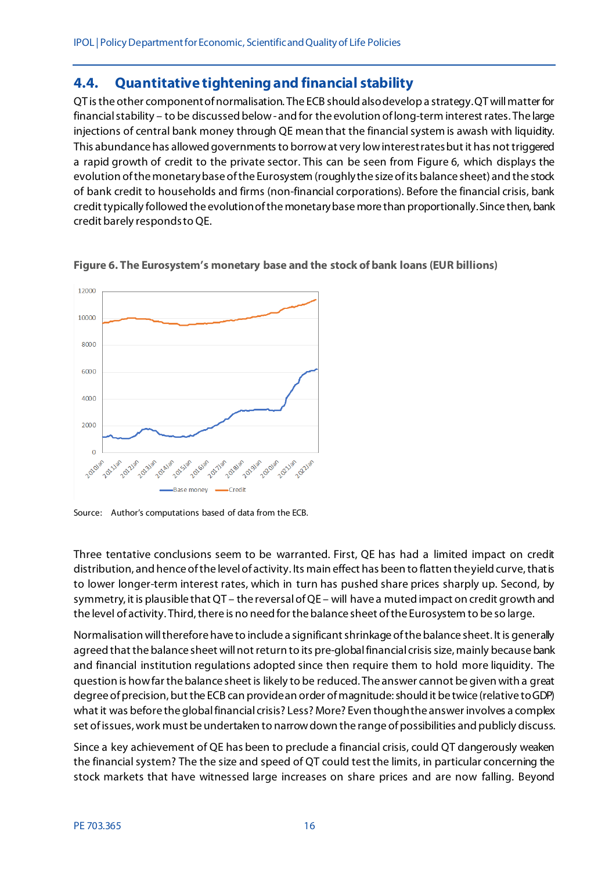#### <span id="page-17-0"></span>**4.4. Quantitative tighteningand financial stability**

QT isthe other component of normalisation. The ECB should also develop a strategy. QT will matter for financial stability – to be discussed below - and for the evolution of long-term interest rates. The large injections of central bank money through QE mean that the financial system is awash with liquidity. This abundance has allowed governments to borrow at very low interest rates but it has not triggered a rapid growth of credit to the private sector. This can be seen from [Figure 6,](#page-17-1) which displays the evolution of the monetary base of the Eurosystem (roughly the size of its balance sheet) and the stock of bank credit to households and firms (non-financial corporations). Before the financial crisis, bank credit typically followed the evolutionof the monetary base more than proportionally. Since then, bank credit barely responds to QE.



<span id="page-17-1"></span>**Figure 6. The Eurosystem's monetary base and the stock of bank loans (EUR billions)**

Source: Author's computations based of data from the ECB.

Three tentative conclusions seem to be warranted. First, QE has had a limited impact on credit distribution, and hence of the level of activity. Its main effect has been to flatten the yield curve, that is to lower longer-term interest rates, which in turn has pushed share prices sharply up. Second, by symmetry, it is plausible that QT – the reversal of QE – will have a muted impact on credit growth and the level of activity. Third, there is no need for the balance sheet of the Eurosystem to be so large.

Normalisation will therefore have to include a significant shrinkage of the balance sheet. It is generally agreed that the balance sheet will not return to its pre-global financial crisis size, mainly becausebank and financial institution regulations adopted since then require them to hold more liquidity. The question is how far the balance sheet is likely to be reduced. The answer cannot be given with a great degree of precision, but the ECB can provide an order of magnitude: should it be twice (relative to GDP) what it was before the global financial crisis? Less? More? Even though the answer involves a complex set of issues, work must be undertaken to narrow down the range of possibilities and publicly discuss.

Since a key achievement of QE has been to preclude a financial crisis, could QT dangerously weaken the financial system? The the size and speed of QT could test the limits, in particular concerning the stock markets that have witnessed large increases on share prices and are now falling. Beyond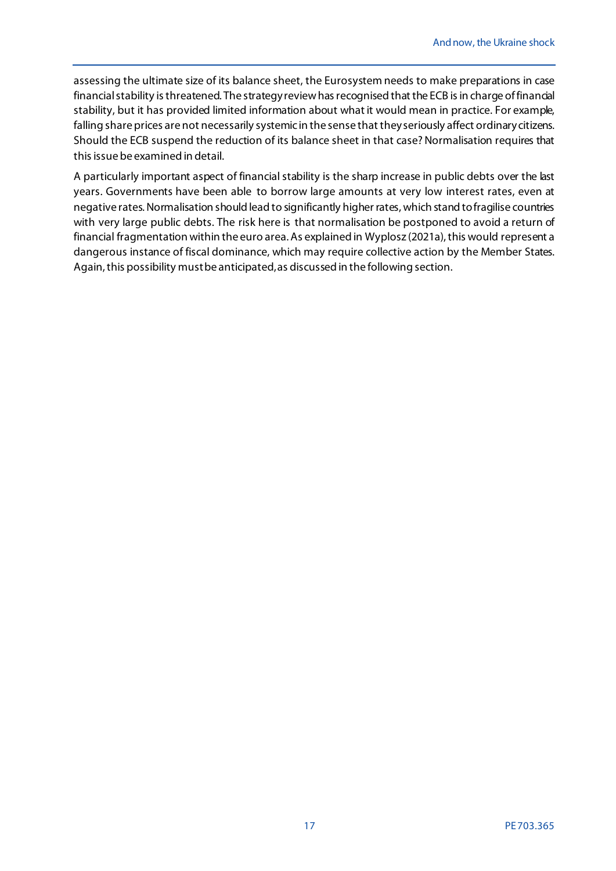assessing the ultimate size of its balance sheet, the Eurosystem needs to make preparations in case financial stability is threatened. The strategy review has recognised that the ECB is in charge of financial stability, but it has provided limited information about what it would mean in practice. For example, falling share prices are not necessarily systemic in the sense that they seriously affect ordinary citizens. Should the ECB suspend the reduction of its balance sheet in that case? Normalisation requires that this issue be examined in detail.

A particularly important aspect of financial stability is the sharp increase in public debts over the last years. Governments have been able to borrow large amounts at very low interest rates, even at negative rates. Normalisation should lead to significantly higher rates, which stand to fragilise countries with very large public debts. The risk here is that normalisation be postponed to avoid a return of financial fragmentation within the euro area. As explained in Wyplosz (2021a), this would represent a dangerous instance of fiscal dominance, which may require collective action by the Member States. Again, this possibility must be anticipated, as discussed in the following section.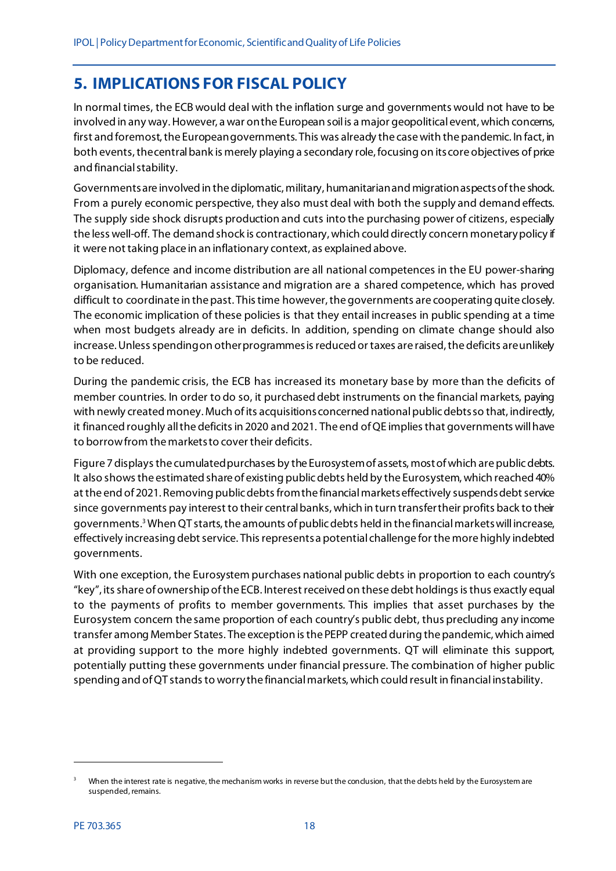### <span id="page-19-0"></span>**5. IMPLICATIONS FOR FISCAL POLICY**

In normal times, the ECB would deal with the inflation surge and governments would not have to be involved in any way. However, a war on the European soil is a major geopolitical event, which concerns, first and foremost, the European governments. This was already the case with the pandemic. In fact, in both events, the central bank is merely playing a secondary role, focusing on its core objectives of price and financial stability.

Governments are involved in the diplomatic, military, humanitarian and migration aspects of the shock. From a purely economic perspective, they also must deal with both the supply and demand effects. The supply side shock disrupts production and cuts into the purchasing power of citizens, especially the less well-off. The demand shock is contractionary, which could directly concern monetary policy if it were not taking place in an inflationary context, as explained above.

Diplomacy, defence and income distribution are all national competences in the EU power-sharing organisation. Humanitarian assistance and migration are a shared competence, which has proved difficult to coordinate in the past. This time however, the governments are cooperating quite closely. The economic implication of these policies is that they entail increases in public spending at a time when most budgets already are in deficits. In addition, spending on climate change should also increase. Unless spending on other programmes is reduced or taxes are raised, the deficits are unlikely to be reduced.

During the pandemic crisis, the ECB has increased its monetary base by more than the deficits of member countries. In order to do so, it purchased debt instruments on the financial markets, paying with newly created money. Much of its acquisitions concerned national public debts so that, indirectly, it financed roughly all the deficits in 2020 and 2021. The end of QE implies that governments will have to borrow from the markets to cover their deficits.

[Figure 7](#page-20-0)displays the cumulated purchases by the Eurosystem of assets, most of which are public debts. It also shows the estimated share of existing public debts held by the Eurosystem, which reached 40% at the end of 2021. Removing public debts from the financial markets effectively suspendsdebt service since governments pay interest to their central banks, which in turn transfer their profits back to their governments.[3](#page-19-1)When QT starts, the amounts of public debts held in the financial markets will increase, effectively increasing debt service. This represents a potential challenge for the more highly indebted governments.

With one exception, the Eurosystem purchases national public debts in proportion to each country's "key", its share of ownership of the ECB. Interest received on these debt holdings is thus exactly equal to the payments of profits to member governments. This implies that asset purchases by the Eurosystem concern the same proportion of each country's public debt, thus precluding any income transfer among Member States. The exception is the PEPP created during the pandemic, which aimed at providing support to the more highly indebted governments. QT will eliminate this support, potentially putting these governments under financial pressure. The combination of higher public spending and of QT stands to worry the financial markets, which could result in financial instability.

1

<span id="page-19-1"></span><sup>&</sup>lt;sup>3</sup> When the interest rate is negative, the mechanism works in reverse but the conclusion, that the debts held by the Eurosystem are suspended, remains.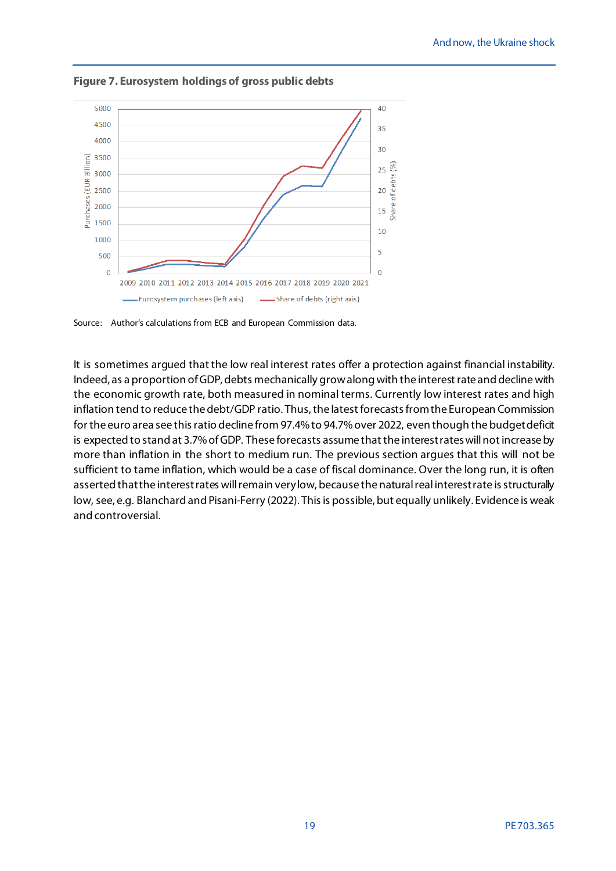

<span id="page-20-0"></span>**Figure 7. Eurosystem holdings of gross public debts**

Source: Author's calculations from ECB and European Commission data.

It is sometimes argued that the low real interest rates offer a protection against financial instability. Indeed, as a proportion of GDP, debts mechanically grow along with the interest rate and decline with the economic growth rate, both measured in nominal terms. Currently low interest rates and high inflation tend to reduce the debt/GDP ratio. Thus, the latest forecasts from the European Commission for the euro area see this ratio decline from 97.4% to 94.7% over 2022, even though the budget deficit is expected to stand at 3.7% of GDP. These forecasts assume that the interest rates will not increase by more than inflation in the short to medium run. The previous section argues that this will not be sufficient to tame inflation, which would be a case of fiscal dominance. Over the long run, it is often asserted that the interest rates will remain very low, because the natural real interest rate is structurally low, see, e.g. Blanchard and Pisani-Ferry (2022). This is possible, but equally unlikely. Evidence is weak and controversial.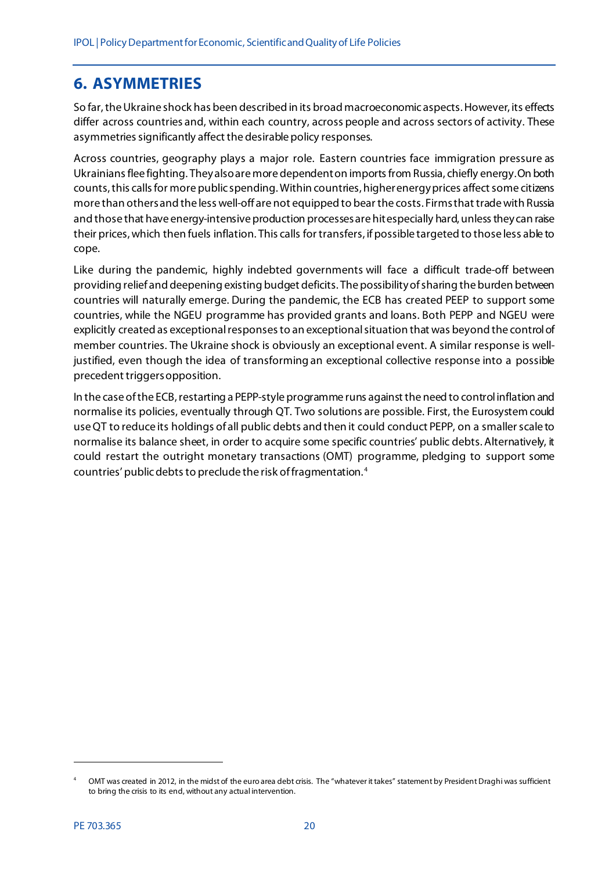#### <span id="page-21-0"></span>**6. ASYMMETRIES**

So far, the Ukraine shock has been described in its broad macroeconomic aspects. However, its effects differ across countries and, within each country, across people and across sectors of activity. These asymmetries significantly affect the desirable policy responses.

Across countries, geography plays a major role. Eastern countries face immigration pressure as Ukrainiansflee fighting. They also are more dependent on imports from Russia, chiefly energy. On both counts, this calls for more public spending. Within countries, higher energy prices affect some citizens more than others and the less well-off are not equipped to bear the costs. Firms that trade with Russia and those that have energy-intensive production processes are hit especially hard, unless they can raise their prices, which then fuels inflation. This calls for transfers, if possible targeted to those less able to cope.

Like during the pandemic, highly indebted governments will face a difficult trade-off between providing relief and deepening existing budget deficits. The possibility of sharing the burden between countries will naturally emerge. During the pandemic, the ECB has created PEEP to support some countries, while the NGEU programme has provided grants and loans. Both PEPP and NGEU were explicitly created as exceptional responses to an exceptional situation that was beyond the control of member countries. The Ukraine shock is obviously an exceptional event. A similar response is welljustified, even though the idea of transforming an exceptional collective response into a possible precedent triggersopposition.

In the case of the ECB, restarting a PEPP-style programme runs against the need to control inflation and normalise its policies, eventually through QT. Two solutions are possible. First, the Eurosystem could use QT to reduce its holdings of all public debts and then it could conduct PEPP, on a smaller scale to normalise its balance sheet, in order to acquire some specific countries' public debts. Alternatively, it could restart the outright monetary transactions (OMT) programme, pledging to support some countries' public debts to preclude the risk of fragmentation. [4](#page-21-1)

1

<span id="page-21-1"></span><sup>4</sup> OMT was created in 2012, in the midst of the euro area debt crisis. The "whatever it takes" statement by President Draghi was sufficient to bring the crisis to its end, without any actual intervention.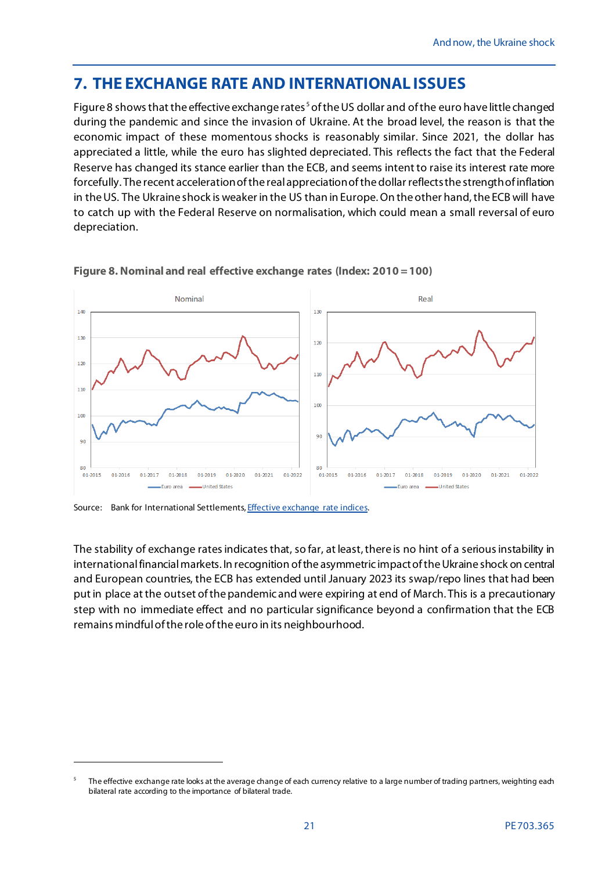### <span id="page-22-0"></span>**7. THE EXCHANGE RATE AND INTERNATIONAL ISSUES**

[Figure 8](#page-22-1) shows that the effective exchange rates<sup>[5](#page-22-2)</sup> of the US dollar and of the euro have little changed during the pandemic and since the invasion of Ukraine. At the broad level, the reason is that the economic impact of these momentous shocks is reasonably similar. Since 2021, the dollar has appreciated a little, while the euro has slighted depreciated. This reflects the fact that the Federal Reserve has changed its stance earlier than the ECB, and seems intent to raise its interest rate more forcefully. The recent acceleration of the real appreciation of the dollar reflects the strength of inflation in the US. The Ukraine shock is weaker in the US than in Europe. On the other hand, the ECB will have to catch up with the Federal Reserve on normalisation, which could mean a small reversal of euro depreciation.



<span id="page-22-1"></span>**Figure 8. Nominal and real effective exchange rates (Index: 2010 = 100)**

Source: Bank for International Settlements, **Effective exchange rate indices**.

1

The stability of exchange rates indicates that, so far, at least, there is no hint of a serious instability in international financial markets. In recognition of the asymmetric impact of the Ukraine shock on central and European countries, the ECB has extended until January 2023 its swap/repo lines that had been put in place at the outset of the pandemic and were expiring at end of March. This is a precautionary step with no immediate effect and no particular significance beyond a confirmation that the ECB remains mindful of the role of the euro in its neighbourhood.

<span id="page-22-2"></span>The effective exchange rate looks at the average change of each currency relative to a large number of trading partners, weighting each bilateral rate according to the importance of bilateral trade.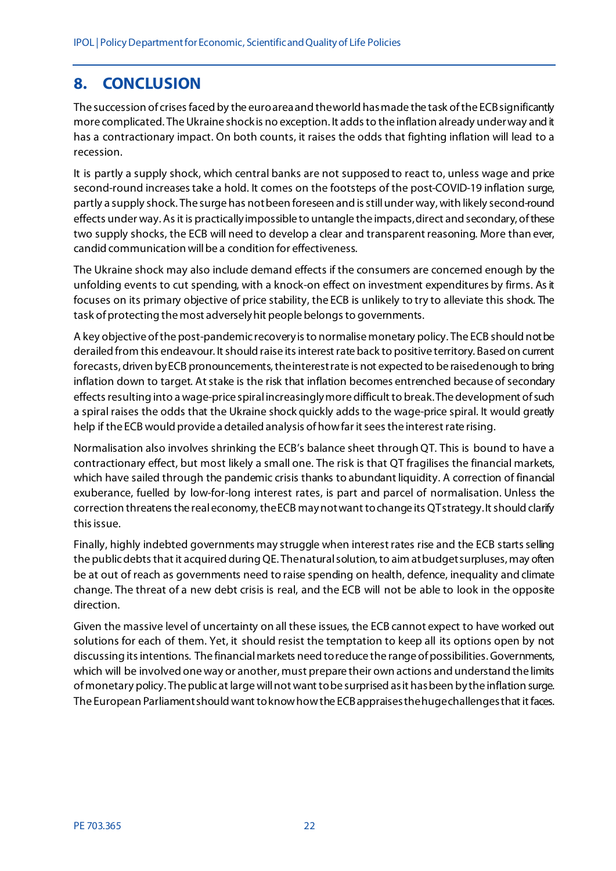## <span id="page-23-0"></span>**8. CONCLUSION**

The succession of crises faced by the euro area and the world has made the task of the ECB significantly more complicated. The Ukraine shock is no exception. It adds to the inflation already under way and it has a contractionary impact. On both counts, it raises the odds that fighting inflation will lead to a recession.

It is partly a supply shock, which central banks are not supposed to react to, unless wage and price second-round increases take a hold. It comes on the footsteps of the post-COVID-19 inflation surge, partly a supply shock. The surge has not been foreseen and is still under way, with likely second-round effects under way. As it is practically impossible to untangle the impacts, direct and secondary, ofthese two supply shocks, the ECB will need to develop a clear and transparent reasoning. More than ever, candid communication will be a condition for effectiveness.

The Ukraine shock may also include demand effects if the consumers are concerned enough by the unfolding events to cut spending, with a knock-on effect on investment expenditures by firms. As it focuses on its primary objective of price stability, the ECB is unlikely to try to alleviate this shock. The task of protecting the most adversely hit people belongs to governments.

A key objective of the post-pandemic recovery is to normalise monetary policy. The ECB should not be derailed from this endeavour. It should raise its interest rate back to positive territory. Based on current forecasts, driven by ECB pronouncements, the interest rate is not expected to be raisedenough to bring inflation down to target. At stake is the risk that inflation becomes entrenched because of secondary effects resulting into a wage-price spiral increasingly more difficult to break. The development of such a spiral raises the odds that the Ukraine shock quickly adds to the wage-price spiral. It would greatly help if the ECB would provide a detailed analysis of how far it sees the interest rate rising.

Normalisation also involves shrinking the ECB's balance sheet through QT. This is bound to have a contractionary effect, but most likely a small one. The risk is that QT fragilises the financial markets, which have sailed through the pandemic crisis thanks to abundant liquidity. A correction of financial exuberance, fuelled by low-for-long interest rates, is part and parcel of normalisation. Unless the correction threatens the real economy, the ECB may not want to change its QT strategy. It should clarify this issue.

Finally, highly indebted governments may struggle when interest rates rise and the ECB starts selling the public debts that it acquired during QE. The natural solution, to aim at budget surpluses, may often be at out of reach as governments need to raise spending on health, defence, inequality and climate change. The threat of a new debt crisis is real, and the ECB will not be able to look in the opposite direction.

Given the massive level of uncertainty on all these issues, the ECB cannot expect to have worked out solutions for each of them. Yet, it should resist the temptation to keep all its options open by not discussing its intentions. The financial markets need to reduce the range of possibilities. Governments, which will be involved one way or another, must prepare their own actions and understand the limits of monetary policy. The public at large will not want to be surprised as it has been by the inflation surge. The European Parliamentshould want to know how the ECB appraises the huge challenges that it faces.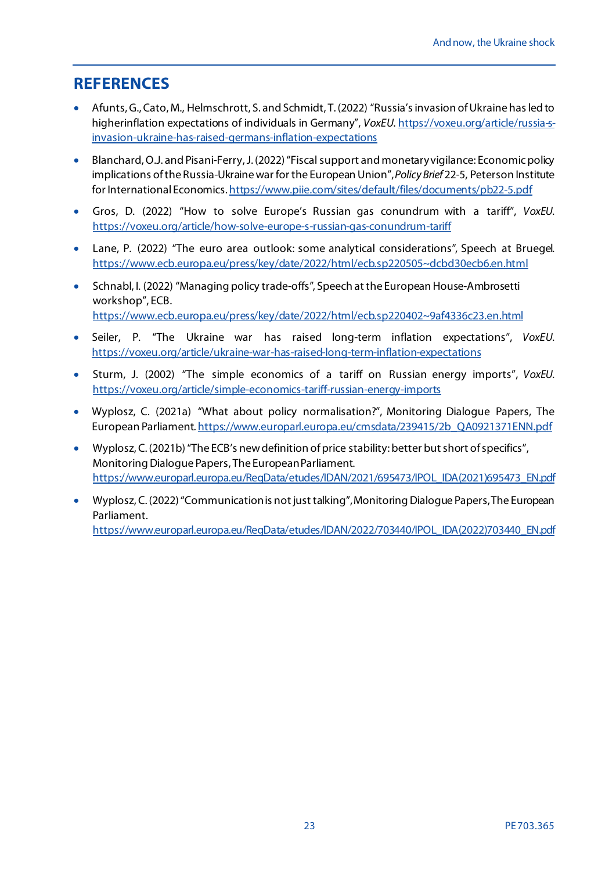#### <span id="page-24-0"></span>**REFERENCES**

- Afunts, G., Cato, M., Helmschrott, S. and Schmidt, T. (2022) "Russia's invasion of Ukraine has led to higherinflation expectations of individuals in Germany", *VoxEU*. [https://voxeu.org/article/russia-s](https://voxeu.org/article/russia-s-invasion-ukraine-has-raised-germans-inflation-expectations)[invasion-ukraine-has-raised-germans-inflation-expectations](https://voxeu.org/article/russia-s-invasion-ukraine-has-raised-germans-inflation-expectations)
- Blanchard, O.J. and Pisani-Ferry, J. (2022) "Fiscal support and monetary vigilance: Economic policy implications of the Russia-Ukraine war for the European Union", *Policy Brief* 22-5, Peterson Institute for International Economic[s. https://www.piie.com/sites/default/files/documents/pb22-5.pdf](https://www.piie.com/sites/default/files/documents/pb22-5.pdf)
- Gros, D. (2022) "How to solve Europe's Russian gas conundrum with a tariff", *VoxEU*. <https://voxeu.org/article/how-solve-europe-s-russian-gas-conundrum-tariff>
- Lane, P. (2022) "The euro area outlook: some analytical considerations", Speech at Bruegel. [https://www.ecb.europa.eu/press/key/date/2022/html/ecb.sp220505~dcbd30ecb6.en.html](https://www.ecb.europa.eu/press/key/date/2022/html/ecb.sp220505%7Edcbd30ecb6.en.html)
- Schnabl, I. (2022) "Managing policy trade-offs", Speech at the European House-Ambrosetti workshop", ECB. [https://www.ecb.europa.eu/press/key/date/2022/html/ecb.sp220402~9af4336c23.en.html](https://www.ecb.europa.eu/press/key/date/2022/html/ecb.sp220402%7E9af4336c23.en.html)
- Seiler, P. "The Ukraine war has raised long-term inflation expectations", *VoxEU*. <https://voxeu.org/article/ukraine-war-has-raised-long-term-inflation-expectations>
- Sturm, J. (2002) "The simple economics of a tariff on Russian energy imports", *VoxEU*. <https://voxeu.org/article/simple-economics-tariff-russian-energy-imports>
- Wyplosz, C. (2021a) "What about policy normalisation?", Monitoring Dialogue Papers, The European Parliamen[t. https://www.europarl.europa.eu/cmsdata/239415/2b\\_QA0921371ENN.pdf](https://www.europarl.europa.eu/cmsdata/239415/2b_QA0921371ENN.pdf)
- Wyplosz, C. (2021b) "The ECB's new definition of price stability: better but short of specifics", Monitoring Dialogue Papers, The European Parliament. [https://www.europarl.europa.eu/RegData/etudes/IDAN/2021/695473/IPOL\\_IDA\(2021\)695473\\_EN.pdf](https://www.europarl.europa.eu/RegData/etudes/IDAN/2021/695473/IPOL_IDA(2021)695473_EN.pdf)
- Wyplosz, C. (2022)"Communication is not just talking", MonitoringDialogue Papers, The European Parliament. [https://www.europarl.europa.eu/RegData/etudes/IDAN/2022/703440/IPOL\\_IDA\(2022\)703440\\_EN.pdf](https://www.europarl.europa.eu/RegData/etudes/IDAN/2022/703440/IPOL_IDA(2022)703440_EN.pdf)